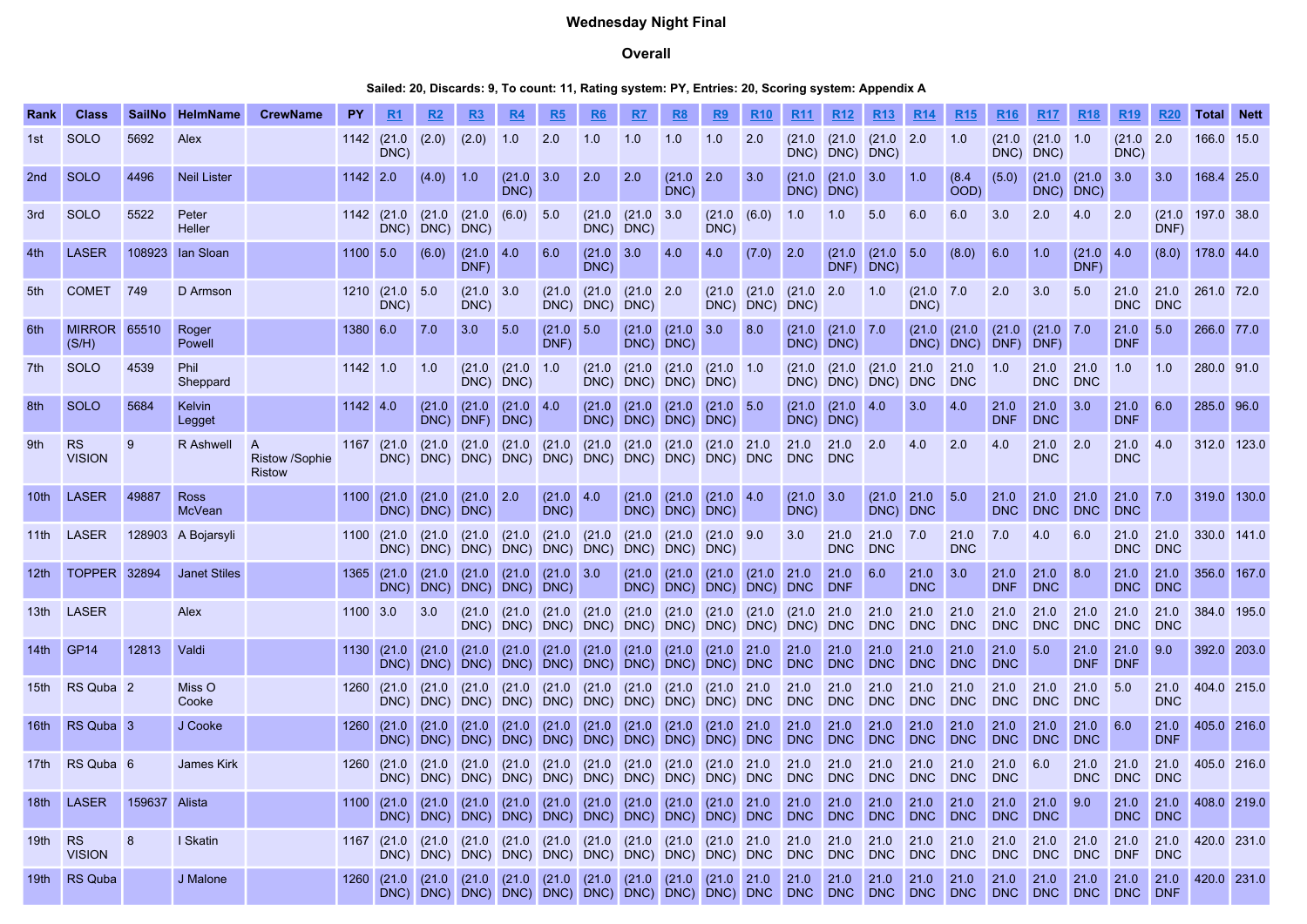# Wednesday Night Final

## Overall

## Sailed: 20, Discards: 9, To count: 11, Rating system: PY, Entries: 20, Scoring system: Appendix A

| Rank             | <b>Class</b>                 | <b>SailNo</b> | <b>HelmName</b>         | <b>CrewName</b>                             | PΥ       |                                    |                |                                        |                                      |                               |                          |                                 |                                      |                                                                                  |                                |                        |                                      |                                           |                    |                          |                    |                    |                            | <b>R19</b>              |                    | Total                  | <b>Nett</b> |
|------------------|------------------------------|---------------|-------------------------|---------------------------------------------|----------|------------------------------------|----------------|----------------------------------------|--------------------------------------|-------------------------------|--------------------------|---------------------------------|--------------------------------------|----------------------------------------------------------------------------------|--------------------------------|------------------------|--------------------------------------|-------------------------------------------|--------------------|--------------------------|--------------------|--------------------|----------------------------|-------------------------|--------------------|------------------------|-------------|
| 1st              | <b>SOLO</b>                  | 5692          | Alex                    |                                             | 1142     | (21.0)<br>DNC)                     | (2.0)          | (2.0)                                  | 1.0                                  | 2.0                           | 1.0                      | 1.0                             | 1.0                                  | 1.0                                                                              | 2.0                            | (21.0)                 |                                      | $(21.0 \t(21.0 \t2.0$<br>DNC) DNC) DNC)   |                    | 1.0                      | (21.0)<br>DNC)     | (21.0 1.0)<br>DNC) |                            | (21.0 2.0<br>DNC)       |                    | 166.0 15.0             |             |
| 2nd              | <b>SOLO</b>                  | 4496          | <b>Neil Lister</b>      |                                             | 1142 2.0 |                                    | (4.0)          | 1.0                                    | $(21.0 \ 3.0$<br>DNC)                |                               | 2.0                      | 2.0                             | $(21.0 \ 2.0$<br>DNC)                |                                                                                  | 3.0                            | (21.0)<br>DNC)         | $(21.0 \ 3.0$<br>DNC)                |                                           | 1.0                | (8.4)<br>OOD)            | (5.0)              | (21.0)             | $(21.0 \ 3.0$<br>DNC) DNC) |                         | 3.0                | 168.4 25.0             |             |
| 3rd              | <b>SOLO</b>                  | 5522          | Peter<br>Heller         |                                             |          | 1142 (21.0<br>DNC)                 | DNC)           | $(21.0 \t(21.0 \t(6.0) 5.0$<br>DNC)    |                                      |                               | DNC)                     | $(21.0 \t (21.0 \t 3.0$<br>DNC) |                                      | (21.0 (6.0)<br>DNC)                                                              |                                | 1.0                    | 1.0                                  | 5.0                                       | 6.0                | 6.0                      | 3.0                | 2.0                | 4.0                        | 2.0                     | DNF)               | $(21.0 \t197.0 \t38.0$ |             |
| 4th              | <b>LASER</b>                 | 108923        | lan Sloan               |                                             | 1100 5.0 |                                    | (6.0)          | $(21.0 \ 4.0$<br>DNF)                  |                                      | 6.0                           | $(21.0 \ 3.0$<br>DNC)    |                                 | 4.0                                  | 4.0                                                                              | $(7.0)$ 2.0                    |                        | (21.0)                               | (21.0 5.0<br>DNF) DNC)                    |                    | (8.0)                    | 6.0                | 1.0                | $(21.0 \ 4.0$<br>DNF)      |                         | (8.0)              | 178.0 44.0             |             |
| 5th              | <b>COMET</b>                 | 749           | D Armson                |                                             |          | 1210 (21.0 5.0<br>DNC)             |                | (21.0)<br>DNC)                         | 3.0                                  | (21.0)                        | (21.0)<br>DNC) DNC) DNC) | $(21.0)$ 2.0                    |                                      |                                                                                  | $(21.0)$ $(21.0)$<br>DNC) DNC) | (21.0 2.0<br>DNC)      |                                      | 1.0                                       | (21.0 7.0<br>DNC)  |                          | 2.0                | 3.0                | 5.0                        | 21.0<br><b>DNC</b>      | 21.0<br><b>DNC</b> | 261.0 72.0             |             |
| 6th              | <b>MIRROR 65510</b><br>(S/H) |               | Roger<br>Powell         |                                             | 1380 6.0 |                                    | 7.0            | 3.0                                    | 5.0                                  | (21.0)<br>DNF)                | 5.0                      |                                 | $(21.0 \t (21.0 \t 3.0$<br>DNC) DNC) |                                                                                  | 8.0                            |                        | $(21.0 \t (21.0 \t 7.0$<br>DNC) DNC) |                                           | (21.0)             | (21.0)<br>DNC) DNC) DNF) | (21.0)             | (21.0 7.0<br>DNF)  |                            | 21.0<br><b>DNF</b>      | 5.0                | 266.0 77.0             |             |
| 7th              | <b>SOLO</b>                  | 4539          | <b>Phil</b><br>Sheppard |                                             | 1142 1.0 |                                    | 1.0            |                                        | $(21.0 \t (21.0 \t 1.0$<br>DNC) DNC) |                               | DNC)                     |                                 | DNC) DNC) DNC)                       | $(21.0)$ $(21.0)$ $(21.0)$ $(21.0)$ 1.0                                          |                                | (21.0)                 |                                      | (21.0   21.0   21.0<br>DNC) DNC) DNC) DNC |                    | 21.0<br><b>DNC</b>       | 1.0                | 21.0<br><b>DNC</b> | 21.0<br><b>DNC</b>         | 1.0                     | 1.0                | 280.0 91.0             |             |
| 8th              | <b>SOLO</b>                  | 5684          | Kelvin<br>Legget        |                                             | 1142 4.0 |                                    | (21.0)<br>DNC) | (21.0)<br>DNF)                         | $(21.0 \ 4.0$<br>DNC)                |                               | DNC)                     | $(21.0 \mid (21.0 \mid$         | (21.0)<br>DNC) DNC) DNC)             | (21.0 5.0                                                                        |                                | (21.0)<br>DNC)         | $(21.0 \ 4.0$<br>DNC)                |                                           | 3.0                | 4.0                      | 21.0<br><b>DNF</b> | 21.0<br><b>DNC</b> | 3.0                        | 21.0<br><b>DNF</b>      | 6.0                | 285.0 96.0             |             |
| 9th              | <b>RS</b><br><b>VISION</b>   | 9             | R Ashwell               | A<br><b>Ristow /Sophie</b><br><b>Ristow</b> |          | 1167 (21.0<br>DNC)                 |                | $(21.0 \t(21.0$                        | $(21.0)$ $(21.0)$                    |                               |                          |                                 |                                      | $(21.0)$ $(21.0)$ $(21.0)$ $(21.0)$ $21.0$                                       |                                | 21.0<br>DNC DNC        | 21.0                                 | 2.0                                       | 4.0                | 2.0                      | 4.0                | 21.0<br><b>DNC</b> | 2.0                        | 21.0<br><b>DNC</b>      | 4.0                | 312.0 123.0            |             |
| 10th             | <b>LASER</b>                 | 49887         | <b>Ross</b><br>McVean   |                                             |          | 1100 (21.0 (21.0 (21.0 2.0<br>DNC) | DNC)           | DNC)                                   |                                      | $(21.0 \ 4.0$<br>DNC)         |                          |                                 | DNC) DNC) DNC)                       | $(21.0 \t (21.0 \t (21.0 \t 4.0$                                                 |                                | $(21.0 \ 3.0$<br>DNC)  |                                      | $(21.0 \ 21.0$<br>DNC)                    | <b>DNC</b>         | 5.0                      | 21.0<br><b>DNC</b> | 21.0<br><b>DNC</b> | 21.0<br><b>DNC</b>         | 21.0<br><b>DNC</b>      | 7.0                |                        | 319.0 130.0 |
| 11th             | LASER                        |               | 128903 A Bojarsyli      |                                             |          | 1100 (21.0                         |                |                                        |                                      | DNC) DNC) DNC) DNC) DNC) DNC) |                          |                                 | DNC) DNC) DNC)                       | $(21.0)$ $(21.0)$ $(21.0)$ $(21.0)$ $(21.0)$ $(21.0)$ $(21.0)$ $(21.0)$ $(21.0)$ |                                | 3.0                    | 21.0<br><b>DNC</b>                   | 21.0<br><b>DNC</b>                        | 7.0                | 21.0<br><b>DNC</b>       | 7.0                | 4.0                | 6.0                        | 21.0<br><b>DNC</b>      | 21.0<br><b>DNC</b> |                        | 330.0 141.0 |
| 12 <sub>th</sub> | <b>TOPPER</b>                | 32894         | <b>Janet Stiles</b>     |                                             |          | 1365 (21.0<br>DNC)                 |                | $(21.0 \t(21.0$<br>DNC) DNC) DNC) DNC) |                                      | $(21.0 \t (21.0 \t 3.0$       |                          |                                 |                                      | $(21.0 \t (21.0 \t (21.0 \t (21.0 \t 21.0$<br>DNC) DNC) DNC) DNC) DNC            |                                |                        | 21.0 <br><b>DNF</b>                  | 6.0                                       | 21.0<br><b>DNC</b> | 3.0                      | 21.0<br><b>DNF</b> | 21.0<br><b>DNC</b> | 8.0                        | 21.0<br><b>DNC</b>      | 21.0<br><b>DNC</b> |                        | 356.0 167.0 |
| 13th             | LASER                        |               | Alex                    |                                             | 1100 3.0 |                                    | 3.0            | (21.0)                                 |                                      |                               |                          |                                 |                                      | (21.0 (21.0 (21.0 (21.0 (21.0 (21.0 (21.0 (21.0 21.0 )                           |                                |                        |                                      | $21.0$ 21.0<br>DNC                        | <b>DNC</b>         | 21.0<br><b>DNC</b>       | 21.0<br><b>DNC</b> | 21.0<br><b>DNC</b> | 21.0<br><b>DNC</b>         | 21.0<br><b>DNC</b>      | 21.0<br><b>DNC</b> |                        | 384.0 195.0 |
| 14th             | GP <sub>14</sub>             | 12813         | Valdi                   |                                             |          | 1130 (21.0<br>DNC)                 | (21.0)         | (21.0)                                 |                                      | $(21.0)$ $(21.0)$             |                          |                                 |                                      | $(21.0 \t (21.0 \t (21.0 \t (21.0 \t 21.0$                                       |                                | $21.0$ 21.0            |                                      | 21.0                                      | 21.0               | 21.0<br><b>DNC</b>       | 21.0<br><b>DNC</b> | 5.0                | 21.0<br>DNF                | 21.0<br><b>DNF</b>      | 9.0                |                        | 392.0 203.0 |
| 15th             | RS Quba <sub>2</sub>         |               | Miss O<br>Cooke         |                                             |          | 1260 (21.0                         |                |                                        |                                      |                               |                          |                                 |                                      | $(21.0)$ $(21.0)$ $(21.0)$ $(21.0)$ $(21.0)$ $(21.0)$ $(21.0)$ $(21.0)$ $(21.0)$ |                                | 21.0<br>DNC DNC        | 21.0                                 | 21.0<br><b>DNC</b>                        | 21.0<br><b>DNC</b> | 21.0<br><b>DNC</b>       | 21.0<br><b>DNC</b> | 21.0<br><b>DNC</b> | 21.0<br><b>DNC</b>         | 5.0                     | 21.0<br><b>DNC</b> |                        | 404.0 215.0 |
| 16th             | RS Quba 3                    |               | J Cooke                 |                                             | 1260     | (21.0)<br>DNC)                     | (21.0)         |                                        |                                      | $(21.0 \t (21.0 \t (21.0$     |                          |                                 |                                      | $(21.0)$ $(21.0)$ $(21.0)$ $(21.0)$ $21.0$                                       |                                | $21.0$ 21.0            | DNC DNC                              | 21.0<br><b>DNC</b>                        | 21.0<br><b>DNC</b> | 21.0<br><b>DNC</b>       | 21.0<br><b>DNC</b> | 21.0<br><b>DNC</b> | 21.0<br><b>DNC</b>         | 6.0                     | 21.0<br><b>DNF</b> |                        | 405.0 216.0 |
| 17th             | RS Quba 6                    |               | <b>James Kirk</b>       |                                             |          | DNC)                               |                |                                        |                                      |                               |                          |                                 |                                      | 1260 (21.0 (21.0 (21.0 (21.0 (21.0 (21.0 (21.0 (21.0 (21.0 21.0 21.0             |                                | $21.0$ 21.0<br>DNC DNC |                                      | 21.0<br><b>DNC</b>                        | 21.0<br><b>DNC</b> | 21.0<br><b>DNC</b>       | 21.0<br><b>DNC</b> | 6.0                | 21.0<br>DNC                | 21.0<br><b>DNC</b>      | 21.0<br><b>DNC</b> | 405.0 216.0            |             |
| 18th             | <b>LASER</b>                 | 159637        | Alista                  |                                             |          | 1100 (21.0)<br>DNC)                | (21.0)         | (21.0)                                 |                                      | $(21.0 \ 21.0$                |                          |                                 |                                      | $(21.0)$ $(21.0)$ $(21.0)$ $(21.0)$ $21.0$                                       |                                | $21.0$ 21.0<br>DNC DNC |                                      | 21.0<br>DNC                               | 21.0<br><b>DNC</b> | 21.0<br><b>DNC</b>       | 21.0<br><b>DNC</b> | 21.0<br><b>DNC</b> | 9.0                        | 21.0<br><b>DNC</b>      | 21.0<br><b>DNC</b> |                        | 408.0 219.0 |
| 19th             | <b>RS</b><br><b>VISION</b>   | 8             | I Skatin                |                                             |          | 1167 (21.0                         | (21.0)         | (21.0)                                 |                                      | $(21.0)$ $(21.0)$             |                          |                                 |                                      | $(21.0)$ $(21.0)$ $(21.0)$ $(21.0)$ $21.0$                                       |                                | 21.0                   | 21.0                                 | 21.0<br><b>DNC</b>                        | 21.0<br><b>DNC</b> | 21.0<br><b>DNC</b>       | 21.0<br><b>DNC</b> | 21.0<br><b>DNC</b> | 21.0<br><b>DNC</b>         | 21.0<br><b>DNF</b>      | 21.0<br><b>DNC</b> | 420.0 231.0            |             |
| 19th             | RS Quba                      |               | J Malone                |                                             | 1260     | (21.0)                             |                |                                        |                                      |                               |                          |                                 |                                      | $(21.0)$ $(21.0)$ $(21.0)$ $(21.0)$ $(21.0)$ $(21.0)$ $(21.0)$ $(21.0)$ $(21.0)$ |                                | $21.0$ 21.0            |                                      | 21.0                                      | 21.0               | 21.0                     | 21.0               | 21.0               | 21.0                       | 21.0<br>DNC DNC DNC DNC | 21.0<br><b>DNF</b> |                        | 420.0 231.0 |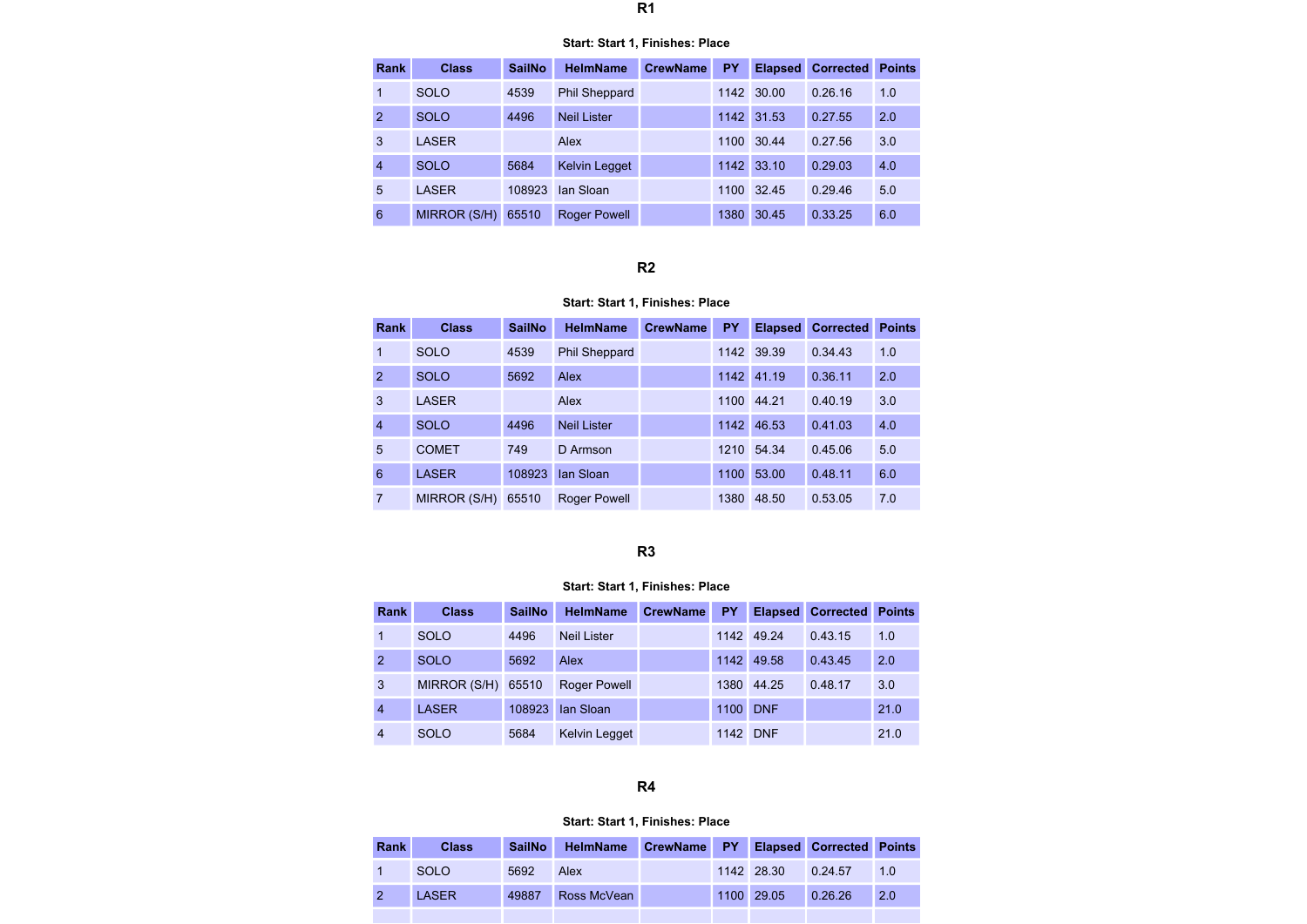#### Start: Start 1, Finishes: Place

| Rank           | <b>Class</b> | <b>SailNo</b> | <b>HelmName</b>      | <b>CrewName</b> | PY   | <b>Elapsed</b> | <b>Corrected</b> | <b>Points</b> |
|----------------|--------------|---------------|----------------------|-----------------|------|----------------|------------------|---------------|
| 1              | <b>SOLO</b>  | 4539          | <b>Phil Sheppard</b> |                 |      | 1142 30.00     | 0.26.16          | 1.0           |
| $\mathcal{P}$  | <b>SOLO</b>  | 4496          | <b>Neil Lister</b>   |                 |      | 1142 31.53     | 0.27.55          | 2.0           |
| 3              | <b>LASER</b> |               | Alex                 |                 | 1100 | 30.44          | 0.27.56          | 3.0           |
| $\overline{4}$ | <b>SOLO</b>  | 5684          | <b>Kelvin Legget</b> |                 | 1142 | 33.10          | 0.29.03          | 4.0           |
| 5              | <b>LASER</b> | 108923        | lan Sloan            |                 | 1100 | 32.45          | 0.29.46          | 5.0           |
| 6              | MIRROR (S/H) | 65510         | <b>Roger Powell</b>  |                 | 1380 | 30.45          | 0.33.25          | 6.0           |

# R2

## Start: Start 1, Finishes: Place

| <b>Rank</b>    | <b>Class</b> | <b>SailNo</b> | <b>HelmName</b>      | <b>CrewName</b> | <b>PY</b> | <b>Elapsed</b> | <b>Corrected</b> | <b>Points</b> |
|----------------|--------------|---------------|----------------------|-----------------|-----------|----------------|------------------|---------------|
| 1              | <b>SOLO</b>  | 4539          | <b>Phil Sheppard</b> |                 | 1142      | 39.39          | 0.34.43          | 1.0           |
| $\overline{2}$ | <b>SOLO</b>  | 5692          | Alex                 |                 | 1142      | 41.19          | 0.36.11          | 2.0           |
| 3              | <b>LASER</b> |               | Alex                 |                 | 1100      | 44.21          | 0.40.19          | 3.0           |
| $\overline{4}$ | <b>SOLO</b>  | 4496          | <b>Neil Lister</b>   |                 | 1142      | 46.53          | 0.41.03          | 4.0           |
| 5              | <b>COMET</b> | 749           | D Armson             |                 | 1210      | 54.34          | 0.45.06          | 5.0           |
| 6              | <b>LASER</b> | 108923        | lan Sloan            |                 | 1100      | 53.00          | 0.48.11          | 6.0           |
| 7              | MIRROR (S/H) | 65510         | Roger Powell         |                 | 1380      | 48.50          | 0.53.05          | 7.0           |

# R3

## Start: Start 1, Finishes: Place

| Rank           | <b>Class</b>       | <b>SailNo</b> | <b>HelmName</b>      | <b>CrewName</b> | <b>PY</b> | <b>Elapsed</b> | <b>Corrected</b> | <b>Points</b> |
|----------------|--------------------|---------------|----------------------|-----------------|-----------|----------------|------------------|---------------|
| 1              | <b>SOLO</b>        | 4496          | <b>Neil Lister</b>   |                 | 1142      | 49.24          | 0.43.15          | 1.0           |
| $\overline{2}$ | <b>SOLO</b>        | 5692          | Alex                 |                 | 1142      | 49.58          | 0.43.45          | 2.0           |
| 3              | MIRROR (S/H) 65510 |               | <b>Roger Powell</b>  |                 | 1380      | 44.25          | 0.48.17          | 3.0           |
| 4              | <b>LASER</b>       | 108923        | lan Sloan            |                 | 1100      | <b>DNF</b>     |                  | 21.0          |
| 4              | SOLO               | 5684          | <b>Kelvin Legget</b> |                 | 1142      | <b>DNF</b>     |                  | 21.0          |

## R4

| Rank | <b>Class</b> | <b>SailNo</b> | <b>HelmName</b> | CrewName PY |            | <b>Elapsed Corrected Points</b> |     |
|------|--------------|---------------|-----------------|-------------|------------|---------------------------------|-----|
|      | <b>SOLO</b>  | 5692          | Alex            |             | 1142 28.30 | 0.24.57                         | 1.0 |
|      | LASER        | 49887         | Ross McVean     |             | 1100 29.05 | 0.26.26                         | 2.0 |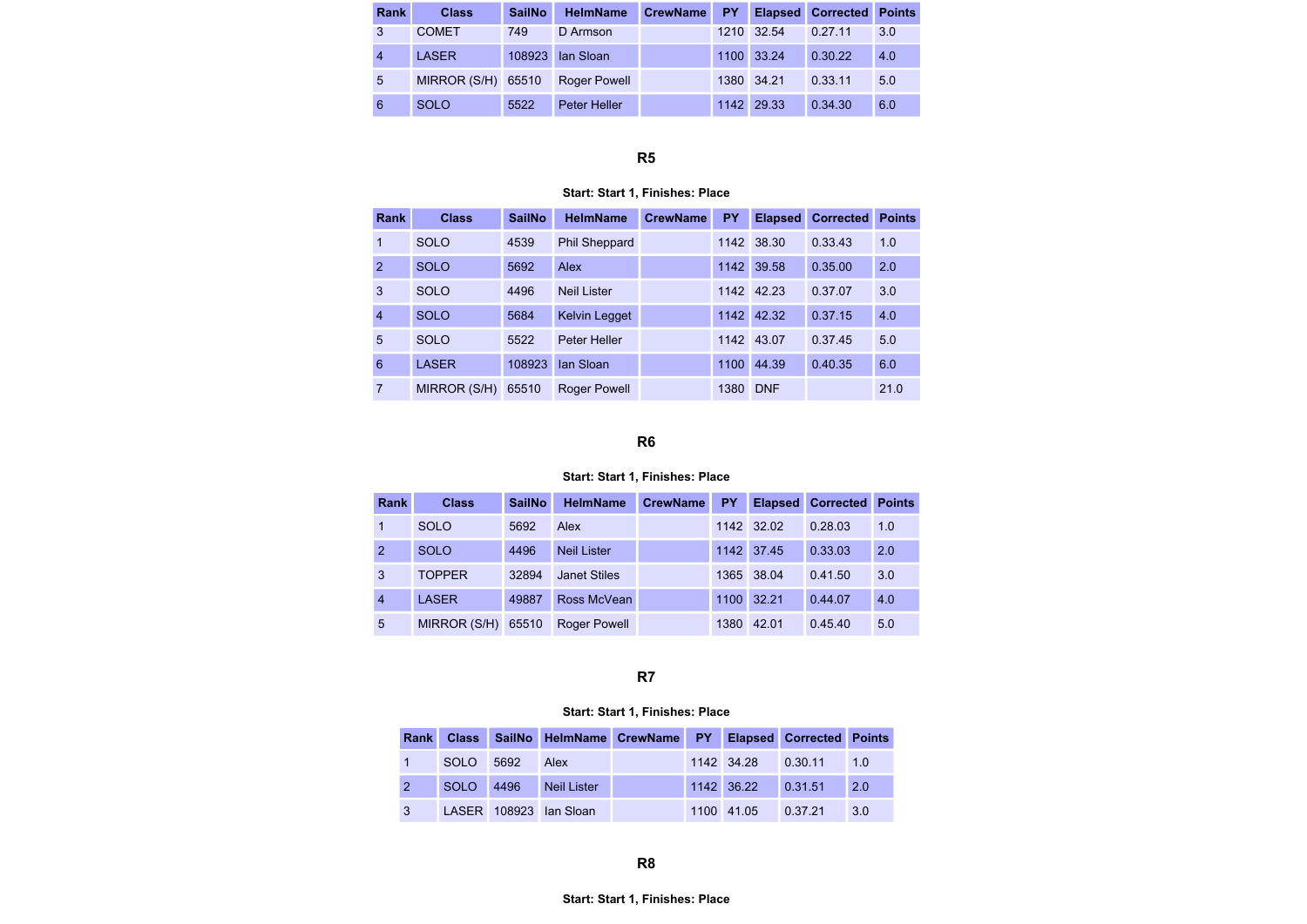| <b>Rank</b>    | <b>Class</b> | <b>SailNo</b> | <b>HelmName</b>     | <b>CrewName</b> | PY. |            | <b>Elapsed Corrected Points</b> |     |
|----------------|--------------|---------------|---------------------|-----------------|-----|------------|---------------------------------|-----|
| 3              | <b>COMET</b> | 749           | D Armson            |                 |     | 1210 32.54 | 0.27.11                         | 3.0 |
| $\overline{4}$ | <b>LASER</b> | 108923        | lan Sloan           |                 |     | 1100 33.24 | 0.30.22                         | 4.0 |
| 5              | MIRROR (S/H) | 65510         | <b>Roger Powell</b> |                 |     | 1380 34.21 | 0.33.11                         | 5.0 |
| 6              | <b>SOLO</b>  | 5522          | Peter Heller        |                 |     | 1142 29.33 | 0.34.30                         | 6.0 |

# Start: Start 1, Finishes: Place

| Rank           | <b>Class</b> | <b>SailNo</b> | <b>HelmName</b>      | <b>CrewName</b> | <b>PY</b> | <b>Elapsed</b> | <b>Corrected</b> | <b>Points</b> |
|----------------|--------------|---------------|----------------------|-----------------|-----------|----------------|------------------|---------------|
| 1              | <b>SOLO</b>  | 4539          | <b>Phil Sheppard</b> |                 | 1142      | 38.30          | 0.33.43          | 1.0           |
| $\overline{2}$ | <b>SOLO</b>  | 5692          | Alex                 |                 | 1142      | 39.58          | 0.35.00          | 2.0           |
| 3              | <b>SOLO</b>  | 4496          | <b>Neil Lister</b>   |                 | 1142      | 42.23          | 0.37.07          | 3.0           |
| $\overline{4}$ | <b>SOLO</b>  | 5684          | <b>Kelvin Legget</b> |                 | 1142      | 42.32          | 0.37.15          | 4.0           |
| 5              | <b>SOLO</b>  | 5522          | <b>Peter Heller</b>  |                 | 1142      | 43.07          | 0.37.45          | 5.0           |
| 6              | <b>LASER</b> | 108923        | lan Sloan            |                 | 1100      | 44.39          | 0.40.35          | 6.0           |
| 7              | MIRROR (S/H) | 65510         | Roger Powell         |                 | 1380      | <b>DNF</b>     |                  | 21.0          |

## R6

#### Start: Start 1, Finishes: Place

| <b>Rank</b>    | <b>Class</b>  | <b>SailNo</b> | <b>HelmName</b>     | <b>CrewName</b> | PY   | <b>Elapsed</b> | <b>Corrected</b> | <b>Points</b> |
|----------------|---------------|---------------|---------------------|-----------------|------|----------------|------------------|---------------|
|                | SOLO          | 5692          | Alex                |                 |      | 1142 32.02     | 0.28.03          | 1.0           |
| 2              | <b>SOLO</b>   | 4496          | <b>Neil Lister</b>  |                 |      | 1142 37.45     | 0.33.03          | 2.0           |
| 3              | <b>TOPPER</b> | 32894         | <b>Janet Stiles</b> |                 |      | 1365 38.04     | 0.41.50          | 3.0           |
| $\overline{4}$ | <b>LASER</b>  | 49887         | Ross McVean         |                 | 1100 | 32.21          | 0.44.07          | 4.0           |
| 5              | MIRROR (S/H)  | 65510         | <b>Roger Powell</b> |                 | 1380 | 42.01          | 0.45.40          | 5.0           |

## R7

|              |           |      |                        | Rank Class SailNo HelmName CrewName PY Elapsed Corrected Points |                    |     |
|--------------|-----------|------|------------------------|-----------------------------------------------------------------|--------------------|-----|
|              | SOLO      | 5692 | <b>Alex</b>            |                                                                 | 1142 34.28 0.30.11 | 1.0 |
|              | SOLO 4496 |      | <b>Neil Lister</b>     |                                                                 | 1142 36.22 0.31.51 | 2.0 |
| $\mathbf{3}$ |           |      | LASER 108923 Ian Sloan |                                                                 | 1100 41.05 0.37.21 | 3.0 |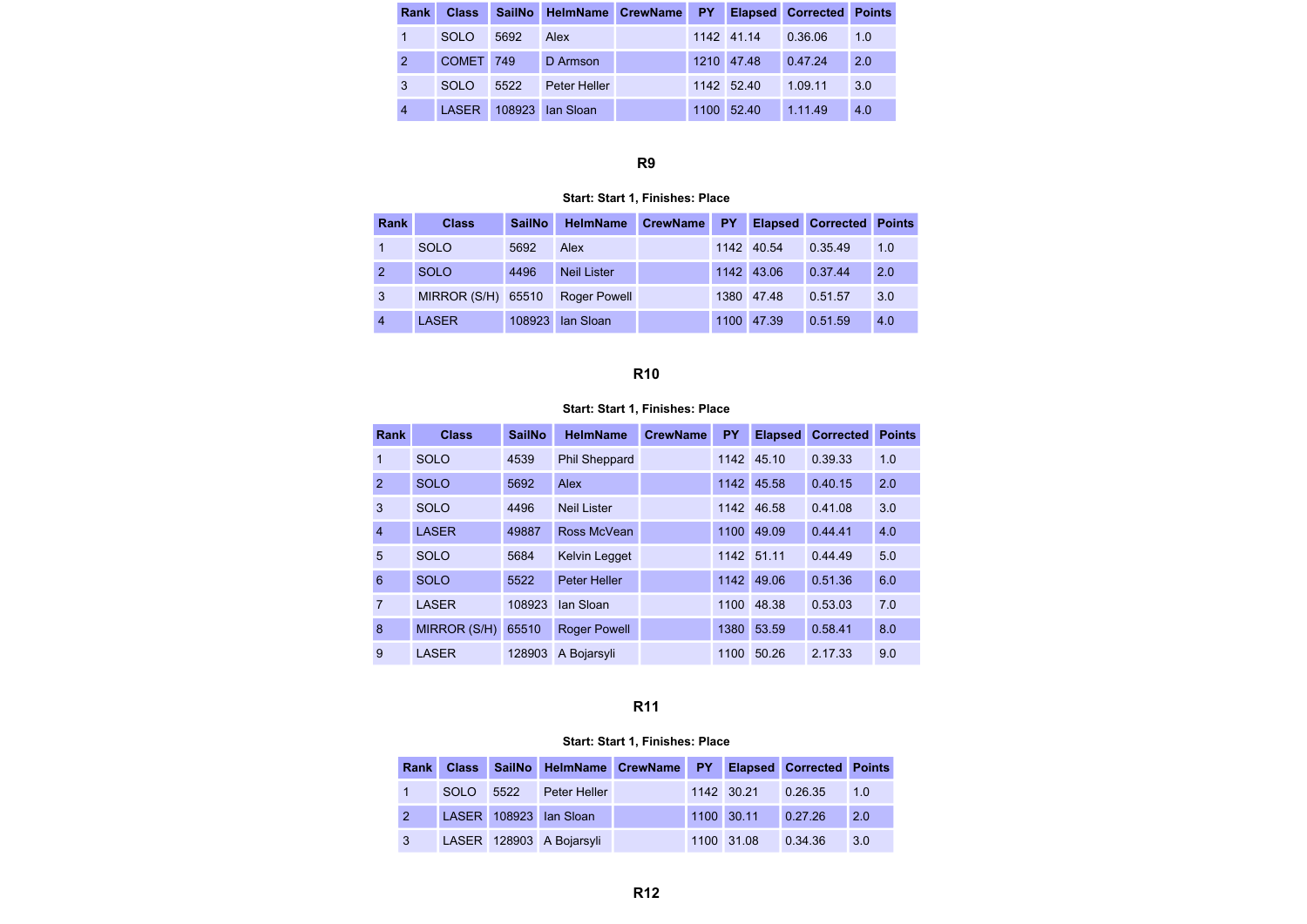| Rank           |             |      | Class SailNo HelmName CrewName PY |      |            | <b>Elapsed Corrected Points</b> |     |
|----------------|-------------|------|-----------------------------------|------|------------|---------------------------------|-----|
|                | SOLO        | 5692 | Alex                              |      | 1142 41.14 | 0.36.06                         | 1.0 |
|                | COMET 749   |      | D Armson                          |      | 1210 47.48 | 0.47.24                         | 2.0 |
| 3              | <b>SOLO</b> | 5522 | Peter Heller                      |      | 1142 52.40 | 1.09.11                         | 3.0 |
| $\overline{4}$ |             |      | LASER 108923 Ian Sloan            | 1100 | 52.40      | 1.11.49                         | 4.0 |

#### Start: Start 1, Finishes: Place

| <b>Rank</b>    | <b>Class</b>       | <b>SailNo</b> | <b>HelmName</b>     | <b>CrewName</b> | PY.  |            | <b>Elapsed Corrected Points</b> |     |
|----------------|--------------------|---------------|---------------------|-----------------|------|------------|---------------------------------|-----|
|                | <b>SOLO</b>        | 5692          | Alex                |                 |      | 1142 40.54 | 0.35.49                         | 1.0 |
| 2              | <b>SOLO</b>        | 4496          | <b>Neil Lister</b>  |                 |      | 1142 43.06 | 0.37.44                         | 2.0 |
| $\mathbf{3}$   | MIRROR (S/H) 65510 |               | <b>Roger Powell</b> |                 |      | 1380 47.48 | 0.51.57                         | 3.0 |
| $\overline{4}$ | <b>LASER</b>       | 108923        | <b>Ian Sloan</b>    |                 | 1100 | 47.39      | 0.51.59                         | 4.0 |

# R10

## Start: Start 1, Finishes: Place

| Rank           | <b>Class</b> | <b>SailNo</b> | <b>HelmName</b>      | <b>CrewName</b> | <b>PY</b> | <b>Elapsed</b> | <b>Corrected</b> | <b>Points</b> |
|----------------|--------------|---------------|----------------------|-----------------|-----------|----------------|------------------|---------------|
| $\overline{1}$ | <b>SOLO</b>  | 4539          | <b>Phil Sheppard</b> |                 | 1142      | 45.10          | 0.39.33          | 1.0           |
| $\overline{2}$ | <b>SOLO</b>  | 5692          | Alex                 |                 | 1142      | 45.58          | 0.40.15          | 2.0           |
| 3              | <b>SOLO</b>  | 4496          | <b>Neil Lister</b>   |                 | 1142      | 46.58          | 0.41.08          | 3.0           |
| $\overline{4}$ | <b>LASER</b> | 49887         | Ross McVean          |                 | 1100      | 49.09          | 0.44.41          | 4.0           |
| 5              | <b>SOLO</b>  | 5684          | <b>Kelvin Legget</b> |                 |           | 1142 51.11     | 0.44.49          | 5.0           |
| 6              | <b>SOLO</b>  | 5522          | <b>Peter Heller</b>  |                 | 1142      | 49.06          | 0.51.36          | 6.0           |
| $\overline{7}$ | <b>LASER</b> | 108923        | lan Sloan            |                 | 1100      | 48.38          | 0.53.03          | 7.0           |
| 8              | MIRROR (S/H) | 65510         | <b>Roger Powell</b>  |                 | 1380      | 53.59          | 0.58.41          | 8.0           |
| 9              | <b>LASER</b> | 128903        | A Bojarsyli          |                 | 1100      | 50.26          | 2.17.33          | 9.0           |

## R11

|                |           | Rank Class SailNo HelmName CrewName PY Elapsed Corrected Points |  |                    |         |     |
|----------------|-----------|-----------------------------------------------------------------|--|--------------------|---------|-----|
|                | SOLO 5522 | Peter Heller                                                    |  | 1142 30.21         | 0.26.35 | 1.0 |
|                |           | LASER 108923 Ian Sloan                                          |  | 1100 30.11 0.27.26 |         | 2.0 |
| 3 <sup>7</sup> |           | LASER 128903 A Bojarsyli                                        |  | 1100 31.08         | 0.34.36 | 3.0 |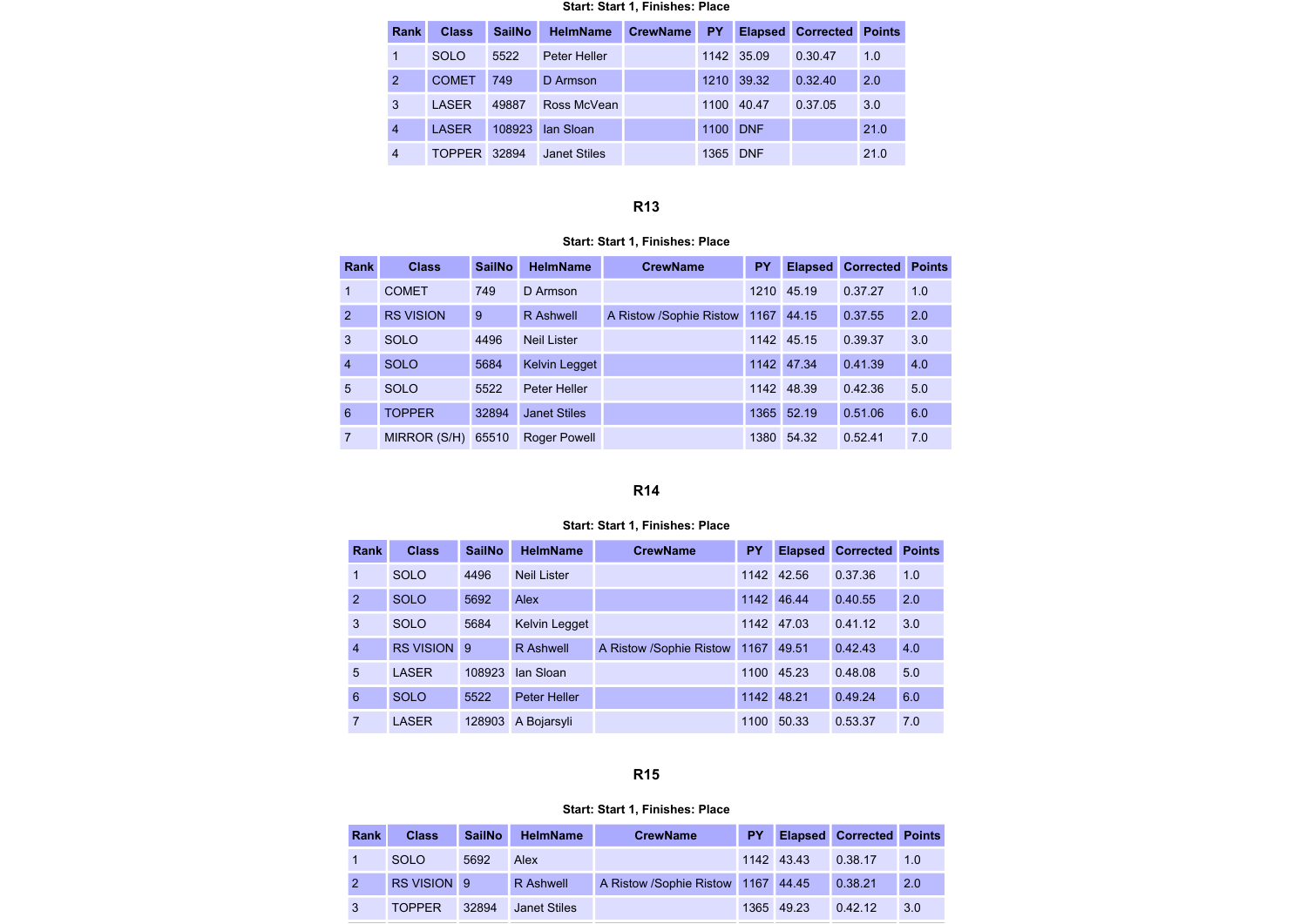#### Start: Start 1, Finishes: Place

| <b>Rank</b>    | <b>Class</b>  | <b>SailNo</b> | <b>HelmName</b>     | <b>CrewName</b> | <b>PY</b> | <b>Elapsed</b> | <b>Corrected</b> | <b>Points</b> |
|----------------|---------------|---------------|---------------------|-----------------|-----------|----------------|------------------|---------------|
| 1              | <b>SOLO</b>   | 5522          | Peter Heller        |                 |           | 1142 35.09     | 0.30.47          | 1.0           |
| $\overline{2}$ | <b>COMET</b>  | 749           | D Armson            |                 | 1210      | 39.32          | 0.32.40          | 2.0           |
| 3              | LASER         | 49887         | Ross McVean         |                 | 1100      | 40.47          | 0.37.05          | 3.0           |
| $\overline{4}$ | <b>LASER</b>  | 108923        | lan Sloan           |                 | 1100      | <b>DNF</b>     |                  | 21.0          |
| 4              | <b>TOPPER</b> | 32894         | <b>Janet Stiles</b> |                 | 1365      | <b>DNF</b>     |                  | 21.0          |

# R13

#### Start: Start 1, Finishes: Place

| <b>Rank</b>    | <b>Class</b>     | <b>SailNo</b> | <b>HelmName</b>     | <b>CrewName</b>         | <b>PY</b> | <b>Elapsed</b> | <b>Corrected</b> | <b>Points</b> |
|----------------|------------------|---------------|---------------------|-------------------------|-----------|----------------|------------------|---------------|
| 1              | <b>COMET</b>     | 749           | D Armson            |                         | 1210      | 45.19          | 0.37.27          | 1.0           |
| 2              | <b>RS VISION</b> | 9             | <b>R</b> Ashwell    | A Ristow /Sophie Ristow | 1167      | 44.15          | 0.37.55          | 2.0           |
| 3              | <b>SOLO</b>      | 4496          | <b>Neil Lister</b>  |                         |           | 1142 45.15     | 0.39.37          | 3.0           |
| $\overline{4}$ | <b>SOLO</b>      | 5684          | Kelvin Legget       |                         |           | 1142 47.34     | 0.41.39          | 4.0           |
| 5              | <b>SOLO</b>      | 5522          | Peter Heller        |                         |           | 1142 48.39     | 0.42.36          | 5.0           |
| 6              | <b>TOPPER</b>    | 32894         | <b>Janet Stiles</b> |                         | 1365      | 52.19          | 0.51.06          | 6.0           |
| 7              | MIRROR (S/H)     | 65510         | <b>Roger Powell</b> |                         | 1380      | 54.32          | 0.52.41          | 7.0           |

## R14

#### Start: Start 1, Finishes: Place

| <b>Rank</b>    | <b>Class</b> | <b>SailNo</b> | <b>HelmName</b>      | <b>CrewName</b>         | PY   | <b>Elapsed</b> | <b>Corrected</b> | <b>Points</b> |
|----------------|--------------|---------------|----------------------|-------------------------|------|----------------|------------------|---------------|
| 1              | <b>SOLO</b>  | 4496          | <b>Neil Lister</b>   |                         | 1142 | 42.56          | 0.37.36          | 1.0           |
| 2              | <b>SOLO</b>  | 5692          | Alex                 |                         | 1142 | 46.44          | 0.40.55          | 2.0           |
| 3              | <b>SOLO</b>  | 5684          | <b>Kelvin Legget</b> |                         | 1142 | 47.03          | 0.41.12          | 3.0           |
| $\overline{4}$ | RS VISION 9  |               | R Ashwell            | A Ristow /Sophie Ristow | 1167 | 49.51          | 0.42.43          | 4.0           |
| 5              | <b>LASER</b> | 108923        | lan Sloan            |                         | 1100 | 45.23          | 0.48.08          | 5.0           |
| 6              | <b>SOLO</b>  | 5522          | <b>Peter Heller</b>  |                         | 1142 | 48.21          | 0.49.24          | 6.0           |
| 7              | <b>LASER</b> | 128903        | A Bojarsyli          |                         | 1100 | 50.33          | 0.53.37          | 7.0           |

## R15

| Rank | <b>Class</b>  | <b>SailNo</b> | <b>HelmName</b>  | <b>CrewName</b>                    | <b>PY</b> |            | <b>Elapsed Corrected Points</b> |     |
|------|---------------|---------------|------------------|------------------------------------|-----------|------------|---------------------------------|-----|
|      | <b>SOLO</b>   | 5692          | Alex             |                                    |           | 1142 43.43 | 0.38.17                         | 1.0 |
|      | RS VISION 9   |               | <b>R</b> Ashwell | A Ristow /Sophie Ristow 1167 44.45 |           |            | 0.38.21                         | 2.0 |
| 3    | <b>TOPPER</b> | 32894         | Janet Stiles     |                                    |           | 1365 49.23 | 0.42.12                         | 3.0 |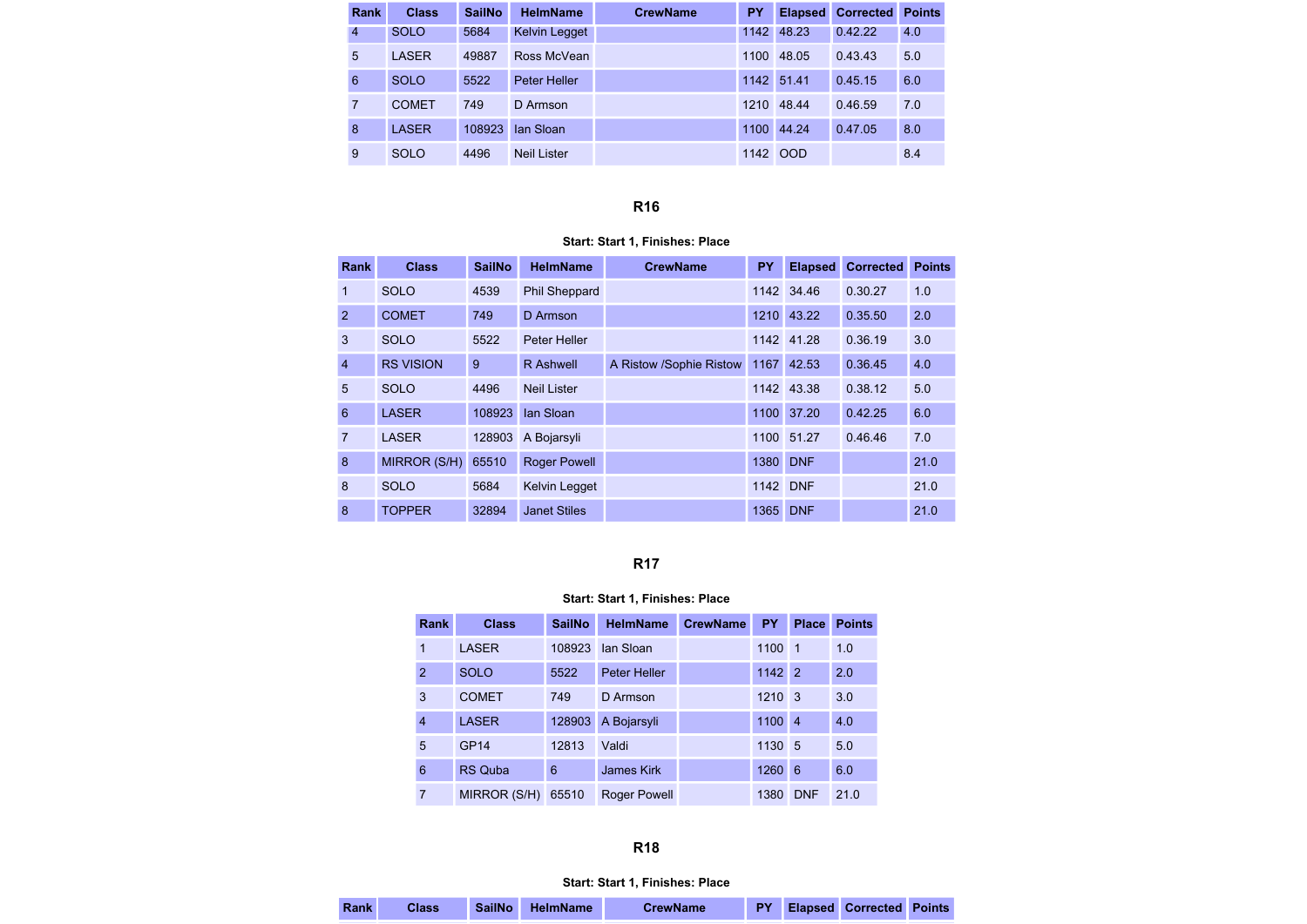| Rank | <b>Class</b> | <b>SailNo</b> | <b>HelmName</b>      | <b>CrewName</b> | <b>PY</b> | <b>Elapsed</b> | <b>Corrected</b> | <b>Points</b> |
|------|--------------|---------------|----------------------|-----------------|-----------|----------------|------------------|---------------|
| 4    | <b>SOLO</b>  | 5684          | <b>Kelvin Legget</b> |                 | 1142      | 48.23          | 0.42.22          | 4.0           |
| 5    | <b>LASER</b> | 49887         | Ross McVean          |                 | 1100      | 48.05          | 0.43.43          | 5.0           |
| 6    | <b>SOLO</b>  | 5522          | Peter Heller         |                 | 1142      | 51.41          | 0.45.15          | 6.0           |
| 7    | <b>COMET</b> | 749           | D Armson             |                 | 1210      | 48.44          | 0.46.59          | 7.0           |
| 8    | <b>LASER</b> | 108923        | lan Sloan            |                 | 1100      | 44.24          | 0.47.05          | 8.0           |
| 9    | <b>SOLO</b>  | 4496          | <b>Neil Lister</b>   |                 | 1142      | <b>OOD</b>     |                  | 8.4           |

#### Start: Start 1, Finishes: Place

| <b>Rank</b>     | <b>Class</b>     | <b>SailNo</b> | <b>HelmName</b>      | <b>CrewName</b>         | <b>PY</b> | <b>Elapsed</b> | <b>Corrected</b> | <b>Points</b> |
|-----------------|------------------|---------------|----------------------|-------------------------|-----------|----------------|------------------|---------------|
| 1               | <b>SOLO</b>      | 4539          | <b>Phil Sheppard</b> |                         |           | 1142 34.46     | 0.30.27          | 1.0           |
| 2               | <b>COMET</b>     | 749           | D Armson             |                         | 1210      | 43.22          | 0.35.50          | 2.0           |
| 3               | <b>SOLO</b>      | 5522          | Peter Heller         |                         |           | 1142 41.28     | 0.36.19          | 3.0           |
| $\overline{4}$  | <b>RS VISION</b> | 9             | R Ashwell            | A Ristow /Sophie Ristow | 1167      | 42.53          | 0.36.45          | 4.0           |
| 5               | <b>SOLO</b>      | 4496          | Neil Lister          |                         |           | 1142 43.38     | 0.38.12          | 5.0           |
| $6\phantom{1}6$ | <b>LASER</b>     | 108923        | lan Sloan            |                         | 1100      | 37.20          | 0.42.25          | 6.0           |
| 7               | <b>LASER</b>     | 128903        | A Bojarsyli          |                         | 1100      | 51.27          | 0.46.46          | 7.0           |
| 8               | MIRROR (S/H)     | 65510         | <b>Roger Powell</b>  |                         | 1380      | <b>DNF</b>     |                  | 21.0          |
| 8               | <b>SOLO</b>      | 5684          | <b>Kelvin Legget</b> |                         | 1142      | <b>DNF</b>     |                  | 21.0          |
| 8               | <b>TOPPER</b>    | 32894         | <b>Janet Stiles</b>  |                         | 1365      | <b>DNF</b>     |                  | 21.0          |

## R17

## Start: Start 1, Finishes: Place

| Rank           | <b>Class</b>   | <b>SailNo</b> | <b>HelmName</b>     | <b>CrewName</b> | <b>PY</b> | <b>Place</b>   | <b>Points</b> |
|----------------|----------------|---------------|---------------------|-----------------|-----------|----------------|---------------|
| 1              | <b>LASER</b>   | 108923        | <b>Jan Sloan</b>    |                 | 1100      | $\overline{1}$ | 1.0           |
| 2              | <b>SOLO</b>    | 5522          | <b>Peter Heller</b> |                 | 1142 2    |                | 2.0           |
| 3              | <b>COMET</b>   | 749           | D Armson            |                 | 1210      | -3             | 3.0           |
| $\overline{4}$ | <b>LASER</b>   | 128903        | A Bojarsyli         |                 | 1100      | $\vert 4$      | 4.0           |
| 5              | <b>GP14</b>    | 12813         | Valdi               |                 | 1130      | 5              | 5.0           |
| 6              | <b>RS Quba</b> | 6             | <b>James Kirk</b>   |                 | 1260      | 6              | 6.0           |
| $\overline{7}$ | MIRROR (S/H)   | 65510         | <b>Roger Powell</b> |                 | 1380      | <b>DNF</b>     | 21.0          |

| Rank | Class |  | SailNo HelmName | <b>CrewName</b> |  |  | <b>Elapsed Corrected Points</b> |  |
|------|-------|--|-----------------|-----------------|--|--|---------------------------------|--|
|------|-------|--|-----------------|-----------------|--|--|---------------------------------|--|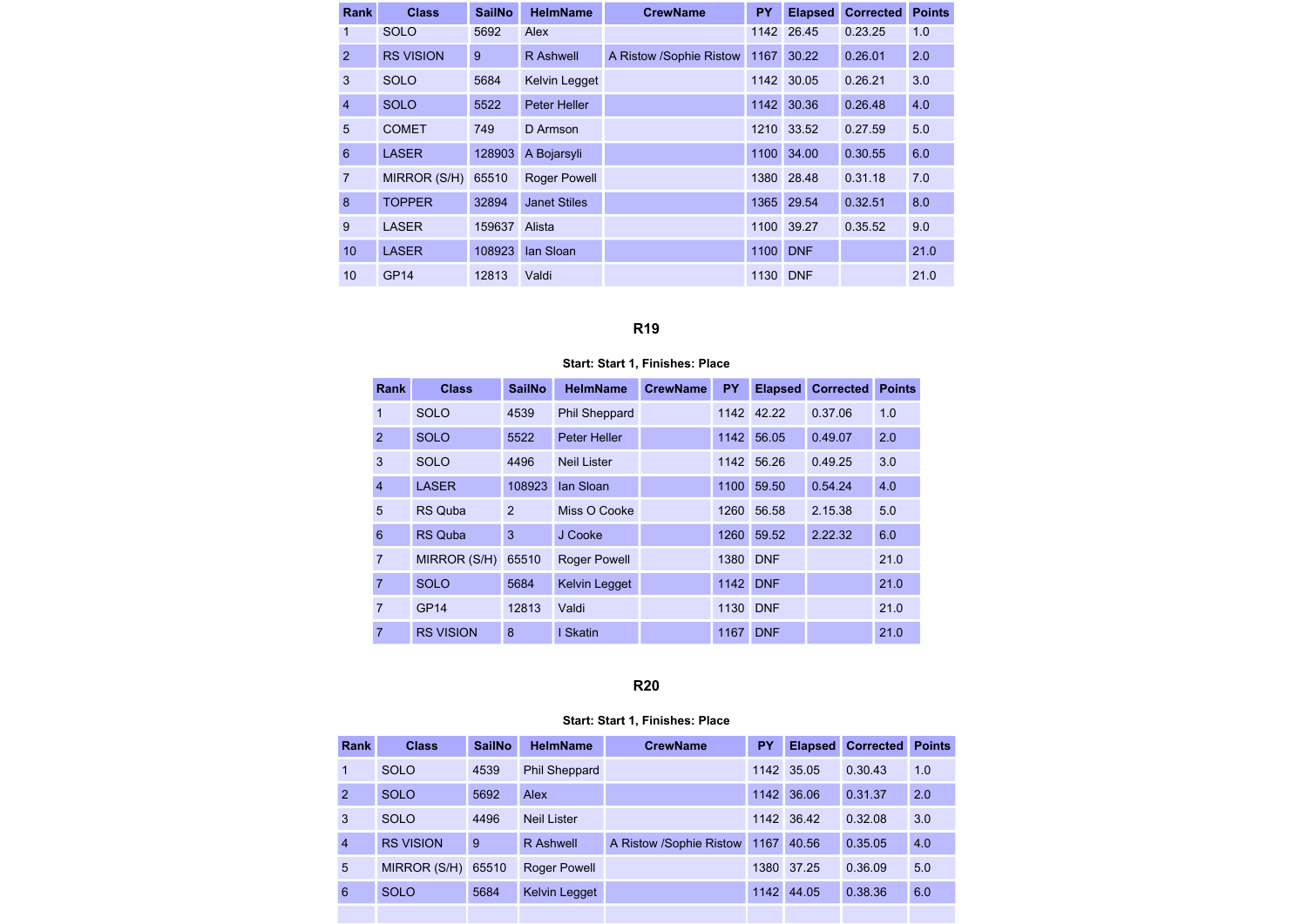| <b>Rank</b>     | <b>Class</b>     | <b>SailNo</b> | <b>HelmName</b>      | <b>CrewName</b>         | <b>PY</b> | <b>Elapsed</b> | <b>Corrected</b> | <b>Points</b> |
|-----------------|------------------|---------------|----------------------|-------------------------|-----------|----------------|------------------|---------------|
| 1               | <b>SOLO</b>      | 5692          | Alex                 |                         | 1142      | 26.45          | 0.23.25          | 1.0           |
| 2               | <b>RS VISION</b> | 9             | R Ashwell            | A Ristow /Sophie Ristow | 1167      | 30.22          | 0.26.01          | 2.0           |
| 3               | <b>SOLO</b>      | 5684          | <b>Kelvin Legget</b> |                         | 1142      | 30.05          | 0.26.21          | 3.0           |
| $\overline{4}$  | <b>SOLO</b>      | 5522          | Peter Heller         |                         | 1142      | 30.36          | 0.26.48          | 4.0           |
| 5               | <b>COMET</b>     | 749           | D Armson             |                         | 1210      | 33.52          | 0.27.59          | 5.0           |
| 6               | <b>LASER</b>     | 128903        | A Bojarsyli          |                         | 1100      | 34.00          | 0.30.55          | 6.0           |
| $\overline{7}$  | MIRROR (S/H)     | 65510         | <b>Roger Powell</b>  |                         | 1380      | 28.48          | 0.31.18          | 7.0           |
| 8               | <b>TOPPER</b>    | 32894         | <b>Janet Stiles</b>  |                         | 1365      | 29.54          | 0.32.51          | 8.0           |
| 9               | <b>LASER</b>     | 159637        | Alista               |                         | 1100      | 39.27          | 0.35.52          | 9.0           |
| 10              | <b>LASER</b>     | 108923        | lan Sloan            |                         | 1100      | <b>DNF</b>     |                  | 21.0          |
| 10 <sup>1</sup> | <b>GP14</b>      | 12813         | Valdi                |                         | 1130 DNF  |                |                  | 21.0          |

# Start: Start 1, Finishes: Place

| Rank           | <b>Class</b>     | <b>SailNo</b>  | <b>HelmName</b>      | <b>CrewName</b> | <b>PY</b> | <b>Elapsed</b> | <b>Corrected</b> | <b>Points</b> |
|----------------|------------------|----------------|----------------------|-----------------|-----------|----------------|------------------|---------------|
| $\overline{1}$ | <b>SOLO</b>      | 4539           | <b>Phil Sheppard</b> |                 |           | 1142 42.22     | 0.37.06          | 1.0           |
| $\overline{2}$ | <b>SOLO</b>      | 5522           | <b>Peter Heller</b>  |                 | 1142      | 56.05          | 0.49.07          | 2.0           |
| 3              | <b>SOLO</b>      | 4496           | <b>Neil Lister</b>   |                 |           | 1142 56.26     | 0.49.25          | 3.0           |
| $\overline{4}$ | <b>LASER</b>     | 108923         | lan Sloan            |                 | 1100      | 59.50          | 0.54.24          | 4.0           |
| 5              | <b>RS Quba</b>   | $\overline{2}$ | Miss O Cooke         |                 | 1260      | 56.58          | 2.15.38          | 5.0           |
| 6              | <b>RS Quba</b>   | 3              | J Cooke              |                 | 1260      | 59.52          | 2.22.32          | 6.0           |
| $\overline{7}$ | MIRROR (S/H)     | 65510          | <b>Roger Powell</b>  |                 | 1380 DNF  |                |                  | 21.0          |
| $\overline{7}$ | <b>SOLO</b>      | 5684           | <b>Kelvin Legget</b> |                 | 1142      | <b>DNF</b>     |                  | 21.0          |
| $\overline{7}$ | <b>GP14</b>      | 12813          | Valdi                |                 | 1130      | <b>DNF</b>     |                  | 21.0          |
| 7              | <b>RS VISION</b> | 8              | I Skatin             |                 | 1167      | <b>DNF</b>     |                  | 21.0          |

#### R20

| Rank           | <b>Class</b>     | <b>SailNo</b> | <b>HelmName</b>      | <b>CrewName</b>         | <b>PY</b> | <b>Elapsed</b> | <b>Corrected</b> | <b>Points</b> |
|----------------|------------------|---------------|----------------------|-------------------------|-----------|----------------|------------------|---------------|
|                | <b>SOLO</b>      | 4539          | <b>Phil Sheppard</b> |                         |           | 1142 35.05     | 0.30.43          | 1.0           |
| $\overline{2}$ | <b>SOLO</b>      | 5692          | Alex                 |                         | 1142      | 36.06          | 0.31.37          | 2.0           |
| 3              | <b>SOLO</b>      | 4496          | <b>Neil Lister</b>   |                         |           | 1142 36.42     | 0.32.08          | 3.0           |
| $\overline{4}$ | <b>RS VISION</b> | 9             | <b>R</b> Ashwell     | A Ristow /Sophie Ristow | 1167      | 40.56          | 0.35.05          | 4.0           |
| 5              | MIRROR (S/H)     | 65510         | <b>Roger Powell</b>  |                         | 1380      | 37.25          | 0.36.09          | 5.0           |
| 6              | <b>SOLO</b>      | 5684          | <b>Kelvin Legget</b> |                         | 1142      | 44.05          | 0.38.36          | 6.0           |
|                |                  |               |                      |                         |           |                |                  |               |